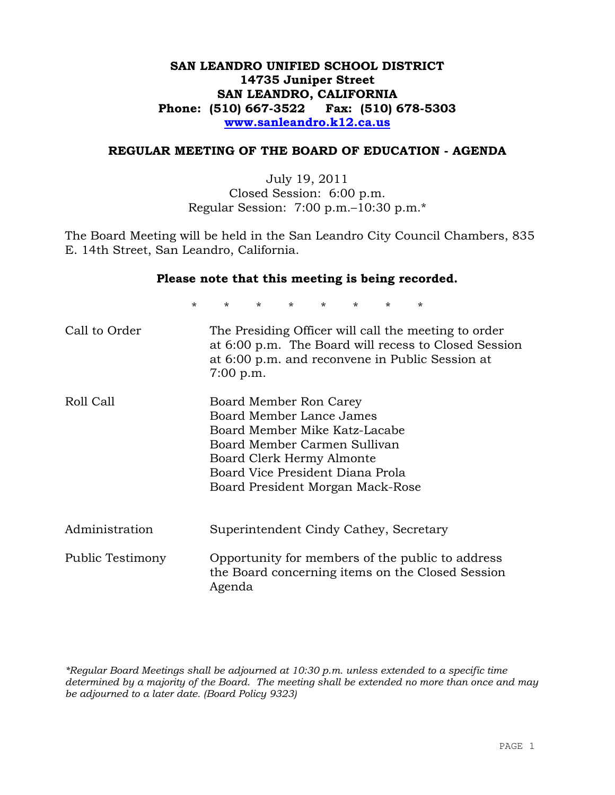## **SAN LEANDRO UNIFIED SCHOOL DISTRICT 14735 Juniper Street SAN LEANDRO, CALIFORNIA Phone: (510) 667-3522 Fax: (510) 678-5303 www.sanleandro.k12.ca.us**

## **REGULAR MEETING OF THE BOARD OF EDUCATION - AGENDA**

July 19, 2011 Closed Session: 6:00 p.m. Regular Session: 7:00 p.m.–10:30 p.m.\*

The Board Meeting will be held in the San Leandro City Council Chambers, 835 E. 14th Street, San Leandro, California.

| Please note that this meeting is being recorded. |             |                                                                                                                                                                                                                          |                    |         |         |        |         |                                                      |
|--------------------------------------------------|-------------|--------------------------------------------------------------------------------------------------------------------------------------------------------------------------------------------------------------------------|--------------------|---------|---------|--------|---------|------------------------------------------------------|
| $\star$                                          | $\star$     | $\star$ and $\star$                                                                                                                                                                                                      | $\star$ and $\sim$ | $\star$ | $\star$ | $\ast$ | $\star$ |                                                      |
| Call to Order                                    | $7:00$ p.m. | The Presiding Officer will call the meeting to order<br>at 6:00 p.m. and reconvene in Public Session at                                                                                                                  |                    |         |         |        |         | at 6:00 p.m. The Board will recess to Closed Session |
| Roll Call                                        |             | Board Member Ron Carey<br>Board Member Lance James<br>Board Member Mike Katz-Lacabe<br>Board Member Carmen Sullivan<br>Board Clerk Hermy Almonte<br>Board Vice President Diana Prola<br>Board President Morgan Mack-Rose |                    |         |         |        |         |                                                      |
| Administration                                   |             | Superintendent Cindy Cathey, Secretary                                                                                                                                                                                   |                    |         |         |        |         |                                                      |
| Public Testimony                                 | Agenda      | Opportunity for members of the public to address<br>the Board concerning items on the Closed Session                                                                                                                     |                    |         |         |        |         |                                                      |

*\*Regular Board Meetings shall be adjourned at 10:30 p.m. unless extended to a specific time determined by a majority of the Board. The meeting shall be extended no more than once and may be adjourned to a later date. (Board Policy 9323)*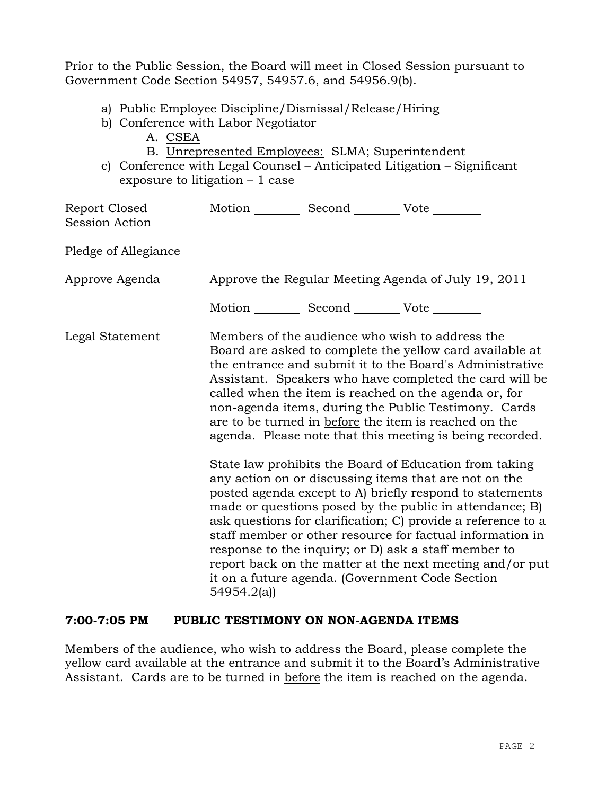Prior to the Public Session, the Board will meet in Closed Session pursuant to Government Code Section 54957, 54957.6, and 54956.9(b).

- a) Public Employee Discipline/Dismissal/Release/Hiring
- b) Conference with Labor Negotiator
	- A. CSEA
	- B. Unrepresented Employees: SLMA; Superintendent
- c) Conference with Legal Counsel Anticipated Litigation Significant exposure to litigation – 1 case

| Report Closed<br><b>Session Action</b> | Motion __________ Second __________ Vote ________      |                                                                                                                                                                                                                                                                                                                                                                                                                                                                                                                                                                                                                                                                                                                                                                                                                                                                                                                                                                                                                        |
|----------------------------------------|--------------------------------------------------------|------------------------------------------------------------------------------------------------------------------------------------------------------------------------------------------------------------------------------------------------------------------------------------------------------------------------------------------------------------------------------------------------------------------------------------------------------------------------------------------------------------------------------------------------------------------------------------------------------------------------------------------------------------------------------------------------------------------------------------------------------------------------------------------------------------------------------------------------------------------------------------------------------------------------------------------------------------------------------------------------------------------------|
| Pledge of Allegiance                   |                                                        |                                                                                                                                                                                                                                                                                                                                                                                                                                                                                                                                                                                                                                                                                                                                                                                                                                                                                                                                                                                                                        |
| Approve Agenda                         |                                                        | Approve the Regular Meeting Agenda of July 19, 2011                                                                                                                                                                                                                                                                                                                                                                                                                                                                                                                                                                                                                                                                                                                                                                                                                                                                                                                                                                    |
|                                        | Motion ___________ Second _____________ Vote _________ |                                                                                                                                                                                                                                                                                                                                                                                                                                                                                                                                                                                                                                                                                                                                                                                                                                                                                                                                                                                                                        |
| Legal Statement                        | 54954.2(a)                                             | Members of the audience who wish to address the<br>Board are asked to complete the yellow card available at<br>the entrance and submit it to the Board's Administrative<br>Assistant. Speakers who have completed the card will be<br>called when the item is reached on the agenda or, for<br>non-agenda items, during the Public Testimony. Cards<br>are to be turned in before the item is reached on the<br>agenda. Please note that this meeting is being recorded.<br>State law prohibits the Board of Education from taking<br>any action on or discussing items that are not on the<br>posted agenda except to A) briefly respond to statements<br>made or questions posed by the public in attendance; B)<br>ask questions for clarification; C) provide a reference to a<br>staff member or other resource for factual information in<br>response to the inquiry; or D) ask a staff member to<br>report back on the matter at the next meeting and/or put<br>it on a future agenda. (Government Code Section |

#### **7:00-7:05 PM PUBLIC TESTIMONY ON NON-AGENDA ITEMS**

Members of the audience, who wish to address the Board, please complete the yellow card available at the entrance and submit it to the Board's Administrative Assistant. Cards are to be turned in before the item is reached on the agenda.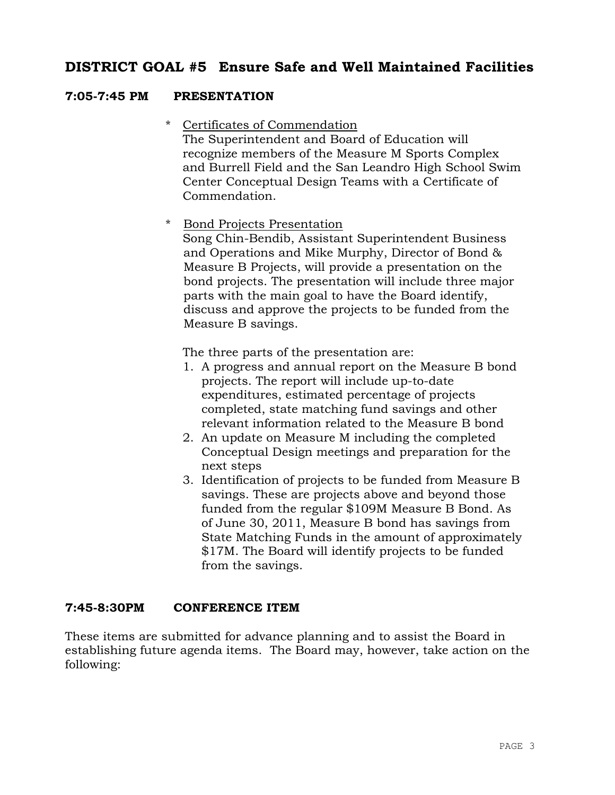# **DISTRICT GOAL #5 Ensure Safe and Well Maintained Facilities**

# **7:05-7:45 PM PRESENTATION**

\* Certificates of Commendation

The Superintendent and Board of Education will recognize members of the Measure M Sports Complex and Burrell Field and the San Leandro High School Swim Center Conceptual Design Teams with a Certificate of Commendation.

\* Bond Projects Presentation

Song Chin-Bendib, Assistant Superintendent Business and Operations and Mike Murphy, Director of Bond & Measure B Projects, will provide a presentation on the bond projects. The presentation will include three major parts with the main goal to have the Board identify, discuss and approve the projects to be funded from the Measure B savings.

The three parts of the presentation are:

- 1. A progress and annual report on the Measure B bond projects. The report will include up-to-date expenditures, estimated percentage of projects completed, state matching fund savings and other relevant information related to the Measure B bond
- 2. An update on Measure M including the completed Conceptual Design meetings and preparation for the next steps
- 3. Identification of projects to be funded from Measure B savings. These are projects above and beyond those funded from the regular \$109M Measure B Bond. As of June 30, 2011, Measure B bond has savings from State Matching Funds in the amount of approximately \$17M. The Board will identify projects to be funded from the savings.

## **7:45-8:30PM CONFERENCE ITEM**

These items are submitted for advance planning and to assist the Board in establishing future agenda items. The Board may, however, take action on the following: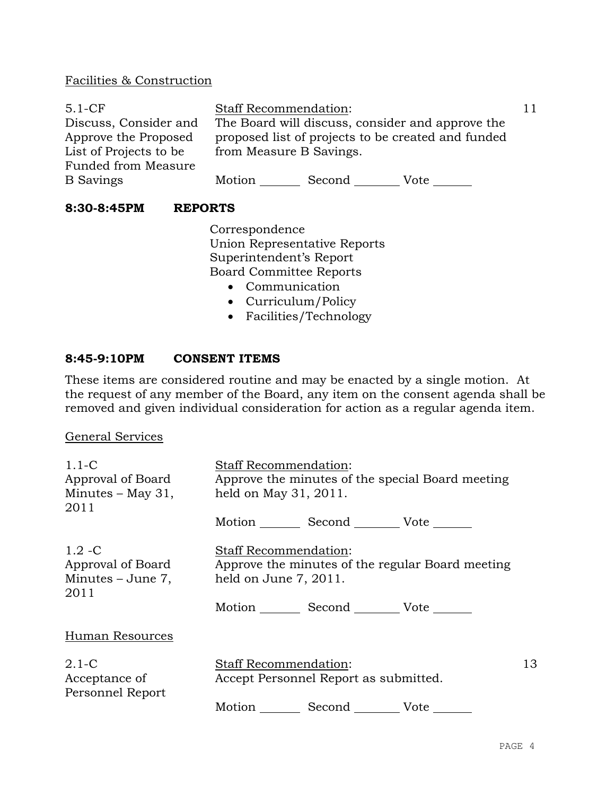## Facilities & Construction

| $5.1-CF$               | <b>Staff Recommendation:</b>                       |  |  |  |  |
|------------------------|----------------------------------------------------|--|--|--|--|
| Discuss, Consider and  | The Board will discuss, consider and approve the   |  |  |  |  |
| Approve the Proposed   | proposed list of projects to be created and funded |  |  |  |  |
| List of Projects to be | from Measure B Savings.                            |  |  |  |  |
| Funded from Measure    |                                                    |  |  |  |  |
| <b>B</b> Savings       | Motion<br>Second<br>Vote                           |  |  |  |  |

## **8:30-8:45PM REPORTS**

Correspondence Union Representative Reports Superintendent's Report Board Committee Reports

- Communication
- Curriculum/Policy
- Facilities/Technology

## **8:45-9:10PM CONSENT ITEMS**

These items are considered routine and may be enacted by a single motion. At the request of any member of the Board, any item on the consent agenda shall be removed and given individual consideration for action as a regular agenda item.

#### General Services

| $1.1-C$<br>Approval of Board<br>$Minutes - May 31,$<br>2011 | <b>Staff Recommendation:</b><br>Approve the minutes of the special Board meeting<br>held on May 31, 2011. |    |
|-------------------------------------------------------------|-----------------------------------------------------------------------------------------------------------|----|
|                                                             | Motion Second Vote ______                                                                                 |    |
| $1.2 - C$<br>Approval of Board<br>Minutes – June 7,<br>2011 | Staff Recommendation:<br>Approve the minutes of the regular Board meeting<br>held on June 7, 2011.        |    |
|                                                             | Motion Second Vote                                                                                        |    |
| Human Resources                                             |                                                                                                           |    |
| $2.1-C$<br>Acceptance of<br>Personnel Report                | <b>Staff Recommendation:</b><br>Accept Personnel Report as submitted.                                     | 13 |
|                                                             | Motion Second Vote                                                                                        |    |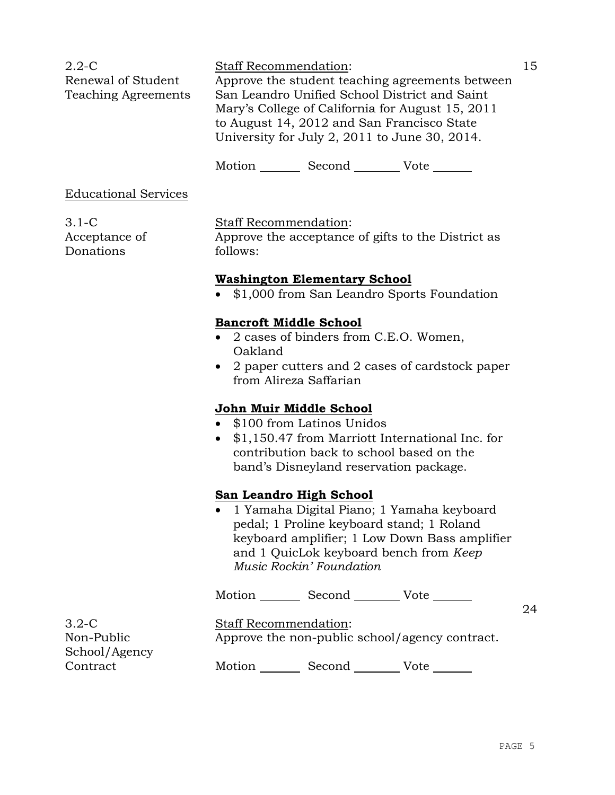| $2.2\text{-C}$             | <b>Staff Recommendation:</b>                     |  |
|----------------------------|--------------------------------------------------|--|
| Renewal of Student         | Approve the student teaching agreements between  |  |
| <b>Teaching Agreements</b> | San Leandro Unified School District and Saint    |  |
|                            | Mary's College of California for August 15, 2011 |  |
|                            | to August 14, 2012 and San Francisco State       |  |
|                            | University for July 2, 2011 to June 30, 2014.    |  |

Motion Second Vote

## Educational Services

3.1-C Acceptance of Donations

## Staff Recommendation:

Approve the acceptance of gifts to the District as follows:

## **Washington Elementary School**

• \$1,000 from San Leandro Sports Foundation

## **Bancroft Middle School**

- 2 cases of binders from C.E.O. Women, Oakland
- 2 paper cutters and 2 cases of cardstock paper from Alireza Saffarian

## **John Muir Middle School**

- \$100 from Latinos Unidos
- \$1,150.47 from Marriott International Inc. for contribution back to school based on the band's Disneyland reservation package.

#### **San Leandro High School**

 1 Yamaha Digital Piano; 1 Yamaha keyboard pedal; 1 Proline keyboard stand; 1 Roland keyboard amplifier; 1 Low Down Bass amplifier and 1 QuicLok keyboard bench from *Keep Music Rockin' Foundation*

Motion \_\_\_\_\_\_\_\_ Second \_\_\_\_\_\_\_\_ Vote \_\_\_\_\_\_

24

3.2-C Non-Public School/Agency **Contract** 

Staff Recommendation: Approve the non-public school/agency contract.

Motion Second Vote \_\_\_\_\_\_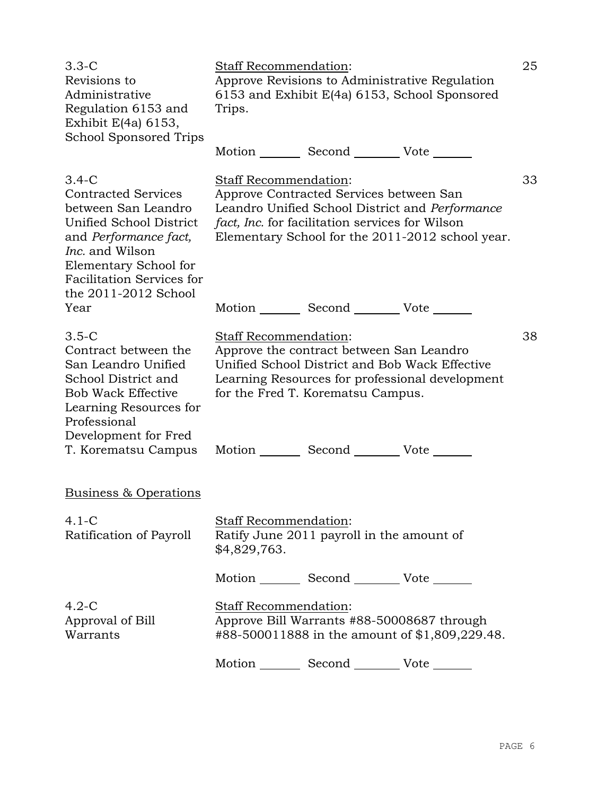| $3.3-C$<br>Revisions to<br>Administrative<br>Regulation 6153 and<br>Exhibit $E(4a)$ 6153,<br><b>School Sponsored Trips</b>                                                                                                      | Staff Recommendation:<br>Approve Revisions to Administrative Regulation<br>6153 and Exhibit E(4a) 6153, School Sponsored<br>Trips. |                                                                                                                                                                                    |                                                                                                     |    |  |  |
|---------------------------------------------------------------------------------------------------------------------------------------------------------------------------------------------------------------------------------|------------------------------------------------------------------------------------------------------------------------------------|------------------------------------------------------------------------------------------------------------------------------------------------------------------------------------|-----------------------------------------------------------------------------------------------------|----|--|--|
|                                                                                                                                                                                                                                 |                                                                                                                                    | Motion _________ Second __________ Vote _______                                                                                                                                    |                                                                                                     |    |  |  |
| $3.4-C$<br><b>Contracted Services</b><br>between San Leandro<br>Unified School District<br>and Performance fact,<br><i>Inc.</i> and Wilson<br>Elementary School for<br><b>Facilitation Services for</b><br>the 2011-2012 School | <b>Staff Recommendation:</b>                                                                                                       | Approve Contracted Services between San<br>fact, Inc. for facilitation services for Wilson                                                                                         | Leandro Unified School District and Performance<br>Elementary School for the 2011-2012 school year. | 33 |  |  |
| Year                                                                                                                                                                                                                            |                                                                                                                                    | Motion _________ Second _________ Vote _______                                                                                                                                     |                                                                                                     |    |  |  |
| $3.5-C$<br>Contract between the<br>San Leandro Unified<br>School District and<br><b>Bob Wack Effective</b><br>Learning Resources for<br>Professional<br>Development for Fred<br>T. Korematsu Campus                             | Staff Recommendation:                                                                                                              | Approve the contract between San Leandro<br>Unified School District and Bob Wack Effective<br>for the Fred T. Korematsu Campus.<br>Motion _________ Second __________ Vote _______ | Learning Resources for professional development                                                     | 38 |  |  |
|                                                                                                                                                                                                                                 |                                                                                                                                    |                                                                                                                                                                                    |                                                                                                     |    |  |  |
| <u>Business &amp; Operations</u>                                                                                                                                                                                                |                                                                                                                                    |                                                                                                                                                                                    |                                                                                                     |    |  |  |
| $4.1 - C$<br>Ratification of Payroll                                                                                                                                                                                            | Staff Recommendation:<br>\$4,829,763.                                                                                              | Ratify June 2011 payroll in the amount of                                                                                                                                          |                                                                                                     |    |  |  |
|                                                                                                                                                                                                                                 |                                                                                                                                    | Motion _________ Second _________ Vote _______                                                                                                                                     |                                                                                                     |    |  |  |
| $4.2-C$<br>Staff Recommendation:<br>Approve Bill Warrants #88-50008687 through<br>Approval of Bill<br>#88-500011888 in the amount of \$1,809,229.48.<br>Warrants                                                                |                                                                                                                                    |                                                                                                                                                                                    |                                                                                                     |    |  |  |
|                                                                                                                                                                                                                                 |                                                                                                                                    | Motion _________ Second ___________ Vote _______                                                                                                                                   |                                                                                                     |    |  |  |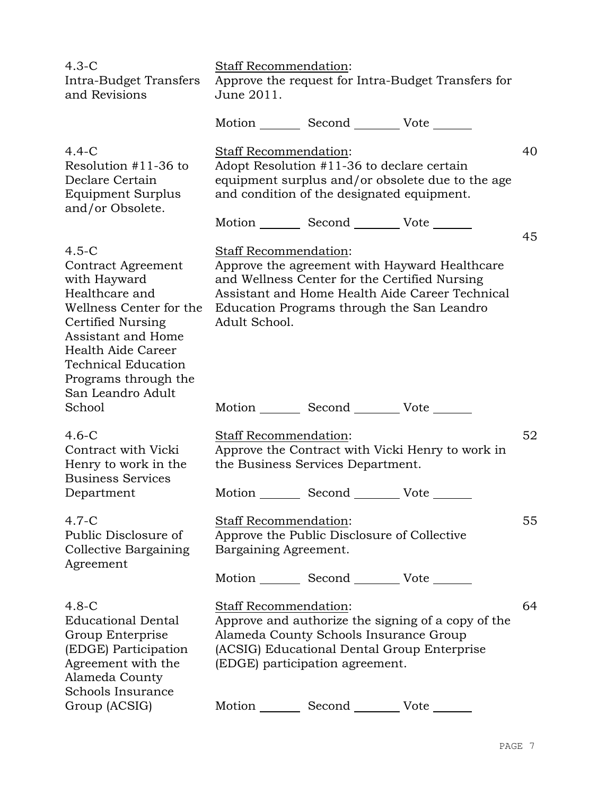| $4.3-C$<br>Intra-Budget Transfers<br>and Revisions                                                                                                                                                                                            | Staff Recommendation:<br>June 2011.                                                                                                               |        | Approve the request for Intra-Budget Transfers for                                               |    |
|-----------------------------------------------------------------------------------------------------------------------------------------------------------------------------------------------------------------------------------------------|---------------------------------------------------------------------------------------------------------------------------------------------------|--------|--------------------------------------------------------------------------------------------------|----|
|                                                                                                                                                                                                                                               | Motion _________ Second __________ Vote _______                                                                                                   |        |                                                                                                  |    |
| $4.4-C$<br>Resolution #11-36 to<br>Declare Certain<br>Equipment Surplus<br>and/or Obsolete.                                                                                                                                                   | Staff Recommendation:<br>Adopt Resolution #11-36 to declare certain<br>and condition of the designated equipment.                                 |        | equipment surplus and/or obsolete due to the age                                                 | 40 |
|                                                                                                                                                                                                                                               | Motion _________ Second ___________ Vote _______                                                                                                  |        |                                                                                                  | 45 |
| $4.5-C$<br><b>Contract Agreement</b><br>with Hayward<br>Healthcare and<br>Wellness Center for the<br>Certified Nursing<br>Assistant and Home<br>Health Aide Career<br><b>Technical Education</b><br>Programs through the<br>San Leandro Adult | Staff Recommendation:<br>and Wellness Center for the Certified Nursing<br>Education Programs through the San Leandro<br>Adult School.             |        | Approve the agreement with Hayward Healthcare<br>Assistant and Home Health Aide Career Technical |    |
| School                                                                                                                                                                                                                                        | Motion _________ Second _________ Vote _______                                                                                                    |        |                                                                                                  |    |
| $4.6-C$<br>Contract with Vicki<br>Henry to work in the<br><b>Business Services</b>                                                                                                                                                            | Staff Recommendation:<br>the Business Services Department.                                                                                        |        | Approve the Contract with Vicki Henry to work in                                                 | 52 |
| Department                                                                                                                                                                                                                                    | Motion _________ Second _________ Vote _______                                                                                                    |        |                                                                                                  |    |
| $4.7 - C$<br>Public Disclosure of<br>Collective Bargaining<br>Agreement                                                                                                                                                                       | Staff Recommendation:<br>Approve the Public Disclosure of Collective<br>Bargaining Agreement.<br>Motion _________ Second __________ Vote _______  |        |                                                                                                  | 55 |
| $4.8-C$<br><b>Educational Dental</b><br>Group Enterprise<br>(EDGE) Participation<br>Agreement with the<br>Alameda County<br>Schools Insurance                                                                                                 | Staff Recommendation:<br>Alameda County Schools Insurance Group<br>(ACSIG) Educational Dental Group Enterprise<br>(EDGE) participation agreement. |        | Approve and authorize the signing of a copy of the                                               | 64 |
| Group (ACSIG)                                                                                                                                                                                                                                 | Motion                                                                                                                                            | Second | Vote                                                                                             |    |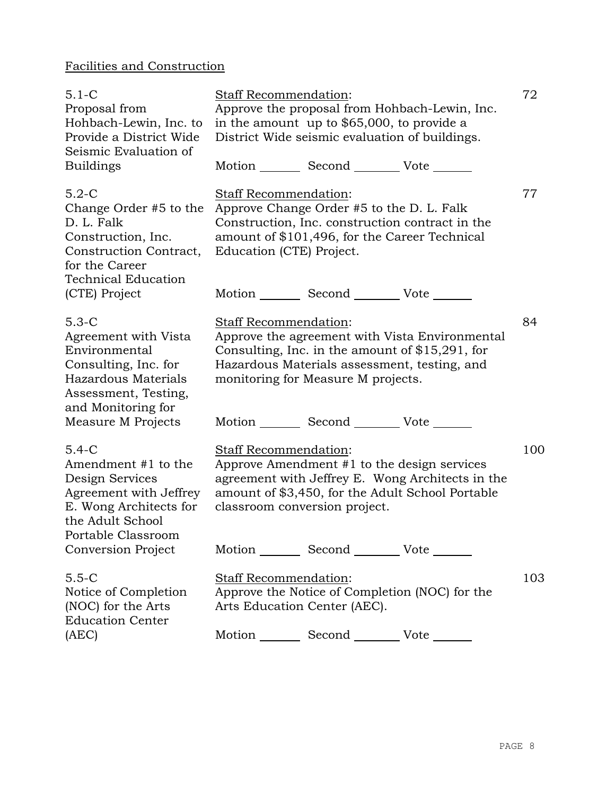# Facilities and Construction

| $5.1 - C$<br>Proposal from<br>Hohbach-Lewin, Inc. to<br>Provide a District Wide<br>Seismic Evaluation of<br><b>Buildings</b>                    | Staff Recommendation:                                        | in the amount up to \$65,000, to provide a<br>District Wide seismic evaluation of buildings.<br>Motion _________ Second ___________ Vote _______ | Approve the proposal from Hohbach-Lewin, Inc.                                                        | 72  |
|-------------------------------------------------------------------------------------------------------------------------------------------------|--------------------------------------------------------------|--------------------------------------------------------------------------------------------------------------------------------------------------|------------------------------------------------------------------------------------------------------|-----|
| $5.2-C$<br>Change Order #5 to the<br>D. L. Falk<br>Construction, Inc.<br>Construction Contract,<br>for the Career<br><b>Technical Education</b> | Staff Recommendation:<br>Education (CTE) Project.            | Approve Change Order #5 to the D. L. Falk<br>amount of \$101,496, for the Career Technical                                                       | Construction, Inc. construction contract in the                                                      | 77  |
| (CTE) Project                                                                                                                                   |                                                              | Motion _________ Second _________ Vote _______                                                                                                   |                                                                                                      |     |
| $5.3-C$<br>Agreement with Vista<br>Environmental<br>Consulting, Inc. for<br>Hazardous Materials<br>Assessment, Testing,<br>and Monitoring for   | Staff Recommendation:                                        | Hazardous Materials assessment, testing, and<br>monitoring for Measure M projects.                                                               | Approve the agreement with Vista Environmental<br>Consulting, Inc. in the amount of $$15,291$ , for  | 84  |
| Measure M Projects                                                                                                                              |                                                              | Motion _________ Second __________ Vote _______                                                                                                  |                                                                                                      |     |
| $5.4 - C$<br>Amendment #1 to the<br>Design Services<br>Agreement with Jeffrey<br>E. Wong Architects for<br>the Adult School                     | Staff Recommendation:<br>classroom conversion project.       | Approve Amendment #1 to the design services                                                                                                      | agreement with Jeffrey E. Wong Architects in the<br>amount of \$3,450, for the Adult School Portable | 100 |
| Portable Classroom<br>Conversion Project                                                                                                        |                                                              | Motion _________ Second __________ Vote _______                                                                                                  |                                                                                                      |     |
| $5.5 - C$<br>Notice of Completion<br>(NOC) for the Arts<br><b>Education Center</b>                                                              | <b>Staff Recommendation:</b><br>Arts Education Center (AEC). |                                                                                                                                                  | Approve the Notice of Completion (NOC) for the                                                       | 103 |
| (AEC)                                                                                                                                           |                                                              | Motion _________ Second __________ Vote _______                                                                                                  |                                                                                                      |     |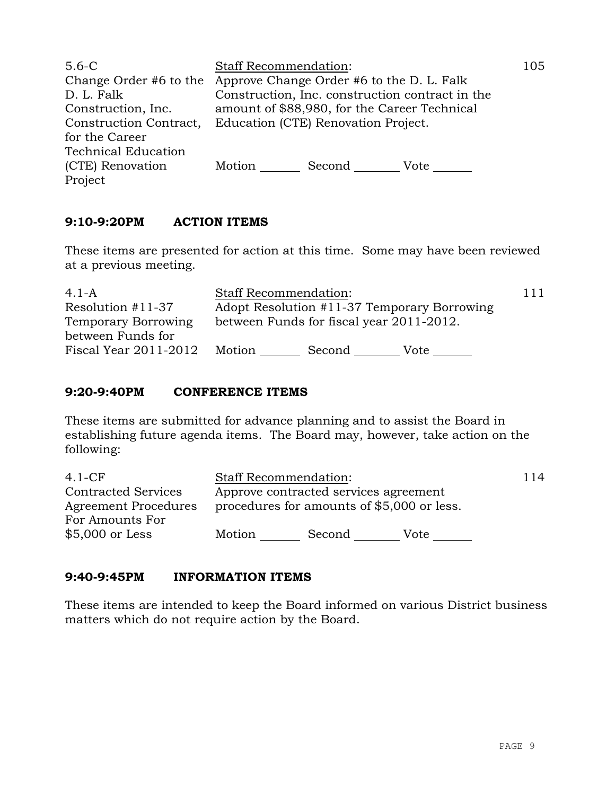| $5.6-C$<br>D. L. Falk                          | <b>Staff Recommendation:</b><br>Change Order #6 to the Approve Change Order #6 to the D. L. Falk<br>Construction, Inc. construction contract in the | 105 |  |  |
|------------------------------------------------|-----------------------------------------------------------------------------------------------------------------------------------------------------|-----|--|--|
| Construction, Inc.<br>Construction Contract,   | amount of \$88,980, for the Career Technical<br>Education (CTE) Renovation Project.                                                                 |     |  |  |
| for the Career                                 |                                                                                                                                                     |     |  |  |
| <b>Technical Education</b><br>(CTE) Renovation | Motion<br>Second<br>Vote                                                                                                                            |     |  |  |
| Project                                        |                                                                                                                                                     |     |  |  |

# **9:10-9:20PM ACTION ITEMS**

These items are presented for action at this time. Some may have been reviewed at a previous meeting.

| 4.1-A                      | <b>Staff Recommendation:</b> |                                          |                                             | 111 |
|----------------------------|------------------------------|------------------------------------------|---------------------------------------------|-----|
| Resolution #11-37          |                              |                                          | Adopt Resolution #11-37 Temporary Borrowing |     |
| <b>Temporary Borrowing</b> |                              | between Funds for fiscal year 2011-2012. |                                             |     |
| between Funds for          |                              |                                          |                                             |     |
| Fiscal Year 2011-2012      | Motion                       | Second                                   | Vote                                        |     |

## **9:20-9:40PM CONFERENCE ITEMS**

These items are submitted for advance planning and to assist the Board in establishing future agenda items. The Board may, however, take action on the following:

| $4.1-CF$                   | <b>Staff Recommendation:</b> |                                            |      | 114 |
|----------------------------|------------------------------|--------------------------------------------|------|-----|
| <b>Contracted Services</b> |                              | Approve contracted services agreement      |      |     |
| Agreement Procedures       |                              | procedures for amounts of \$5,000 or less. |      |     |
| For Amounts For            |                              |                                            |      |     |
| $$5,000$ or Less           | Motion                       | Second                                     | Vote |     |

## **9:40-9:45PM INFORMATION ITEMS**

These items are intended to keep the Board informed on various District business matters which do not require action by the Board.